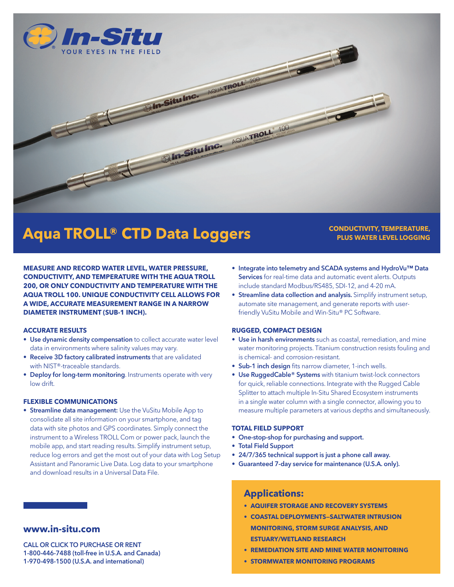



# **Aqua TROLL® CTD Data Loggers**

#### **MEASURE AND RECORD WATER LEVEL, WATER PRESSURE, CONDUCTIVITY, AND TEMPERATURE WITH THE AQUA TROLL 200, OR ONLY CONDUCTIVITY AND TEMPERATURE WITH THE AQUA TROLL 100. UNIQUE CONDUCTIVITY CELL ALLOWS FOR A WIDE, ACCURATE MEASUREMENT RANGE IN A NARROW DIAMETER INSTRUMENT (SUB-1 INCH).**

#### **ACCURATE RESULTS**

- Use dynamic density compensation to collect accurate water level data in environments where salinity values may vary.
- Receive 3D factory calibrated instruments that are validated with NIST®-traceable standards.
- Deploy for long-term monitoring. Instruments operate with very low drift.

#### **FLEXIBLE COMMUNICATIONS**

• Streamline data management: Use the VuSitu Mobile App to consolidate all site information on your smartphone, and tag data with site photos and GPS coordinates. Simply connect the instrument to a Wireless TROLL Com or power pack, launch the mobile app, and start reading results. Simplify instrument setup, reduce log errors and get the most out of your data with Log Setup Assistant and Panoramic Live Data. Log data to your smartphone and download results in a Universal Data File.

## **www.in-situ.com**

CALL OR CLICK TO PURCHASE OR RENT 1-800-446-7488 (toll-free in U.S.A. and Canada) 1-970-498-1500 (U.S.A. and international)

• Integrate into telemetry and SCADA systems and HydroVu™ Data Services for real-time data and automatic event alerts. Outputs include standard Modbus/RS485, SDI-12, and 4-20 mA.

**CONDUCTIVITY, TEMPERATURE, PLUS WATER LEVEL LOGGING**

• Streamline data collection and analysis. Simplify instrument setup, automate site management, and generate reports with userfriendly VuSitu Mobile and Win-Situ® PC Software.

#### **RUGGED, COMPACT DESIGN**

- Use in harsh environments such as coastal, remediation, and mine water monitoring projects. Titanium construction resists fouling and is chemical- and corrosion-resistant.
- Sub-1 inch design fits narrow diameter, 1-inch wells.
- Use RuggedCable® Systems with titanium twist-lock connectors for quick, reliable connections. Integrate with the Rugged Cable Splitter to attach multiple In-Situ Shared Ecosystem instruments in a single water column with a single connector, allowing you to measure multiple parameters at various depths and simultaneously.

#### **TOTAL FIELD SUPPORT**

- One-stop-shop for purchasing and support.
- Total Field Support
- 24/7/365 technical support is just a phone call away.
- Guaranteed 7-day service for maintenance (U.S.A. only).

## **Applications:**

- **• AQUIFER STORAGE AND RECOVERY SYSTEMS**
- **• COASTAL DEPLOYMENTS—SALTWATER INTRUSION MONITORING, STORM SURGE ANALYSIS, AND ESTUARY/WETLAND RESEARCH**
- **• REMEDIATION SITE AND MINE WATER MONITORING**
- **• STORMWATER MONITORING PROGRAMS**